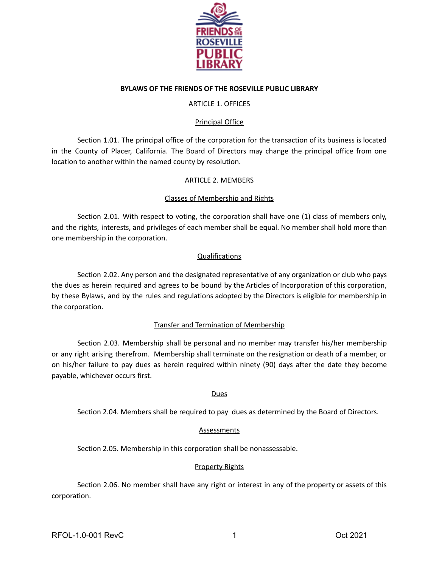

#### **BYLAWS OF THE FRIENDS OF THE ROSEVILLE PUBLIC LIBRARY**

#### ARTICLE 1. OFFICES

### Principal Office

Section 1.01. The principal office of the corporation for the transaction of its business is located in the County of Placer, California. The Board of Directors may change the principal office from one location to another within the named county by resolution.

### ARTICLE 2. MEMBERS

### Classes of Membership and Rights

Section 2.01. With respect to voting, the corporation shall have one (1) class of members only, and the rights, interests, and privileges of each member shall be equal. No member shall hold more than one membership in the corporation.

### **Qualifications**

Section 2.02. Any person and the designated representative of any organization or club who pays the dues as herein required and agrees to be bound by the Articles of Incorporation of this corporation, by these Bylaws, and by the rules and regulations adopted by the Directors is eligible for membership in the corporation.

#### Transfer and Termination of Membership

Section 2.03. Membership shall be personal and no member may transfer his/her membership or any right arising therefrom. Membership shall terminate on the resignation or death of a member, or on his/her failure to pay dues as herein required within ninety (90) days after the date they become payable, whichever occurs first.

#### **Dues**

Section 2.04. Members shall be required to pay dues as determined by the Board of Directors.

#### **Assessments**

Section 2.05. Membership in this corporation shall be nonassessable.

## Property Rights

Section 2.06. No member shall have any right or interest in any of the property or assets of this corporation.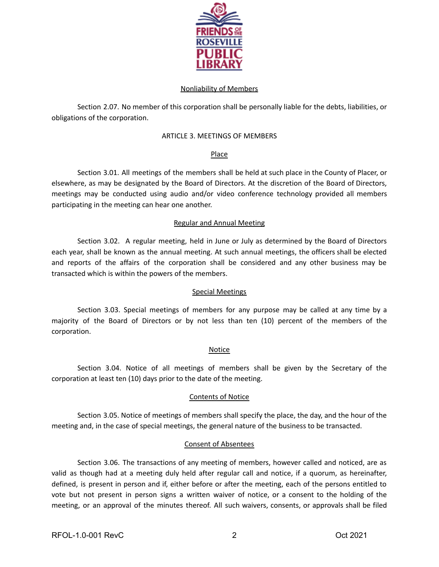

### Nonliability of Members

Section 2.07. No member of this corporation shall be personally liable for the debts, liabilities, or obligations of the corporation.

### ARTICLE 3. MEETINGS OF MEMBERS

### Place

Section 3.01. All meetings of the members shall be held at such place in the County of Placer, or elsewhere, as may be designated by the Board of Directors. At the discretion of the Board of Directors, meetings may be conducted using audio and/or video conference technology provided all members participating in the meeting can hear one another.

### Regular and Annual Meeting

Section 3.02. A regular meeting, held in June or July as determined by the Board of Directors each year, shall be known as the annual meeting. At such annual meetings, the officers shall be elected and reports of the affairs of the corporation shall be considered and any other business may be transacted which is within the powers of the members.

#### Special Meetings

Section 3.03. Special meetings of members for any purpose may be called at any time by a majority of the Board of Directors or by not less than ten (10) percent of the members of the corporation.

## **Notice**

Section 3.04. Notice of all meetings of members shall be given by the Secretary of the corporation at least ten (10) days prior to the date of the meeting.

## Contents of Notice

Section 3.05. Notice of meetings of members shall specify the place, the day, and the hour of the meeting and, in the case of special meetings, the general nature of the business to be transacted.

## Consent of Absentees

Section 3.06. The transactions of any meeting of members, however called and noticed, are as valid as though had at a meeting duly held after regular call and notice, if a quorum, as hereinafter, defined, is present in person and if, either before or after the meeting, each of the persons entitled to vote but not present in person signs a written waiver of notice, or a consent to the holding of the meeting, or an approval of the minutes thereof. All such waivers, consents, or approvals shall be filed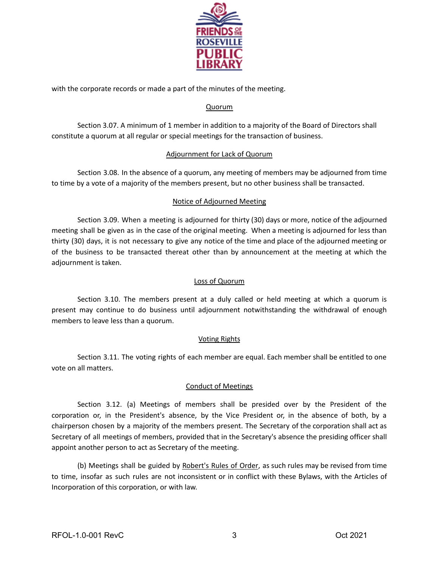

with the corporate records or made a part of the minutes of the meeting.

### Quorum

Section 3.07. A minimum of 1 member in addition to a majority of the Board of Directors shall constitute a quorum at all regular or special meetings for the transaction of business.

### Adjournment for Lack of Quorum

Section 3.08. In the absence of a quorum, any meeting of members may be adjourned from time to time by a vote of a majority of the members present, but no other business shall be transacted.

### Notice of Adjourned Meeting

Section 3.09. When a meeting is adjourned for thirty (30) days or more, notice of the adjourned meeting shall be given as in the case of the original meeting. When a meeting is adjourned for less than thirty (30) days, it is not necessary to give any notice of the time and place of the adjourned meeting or of the business to be transacted thereat other than by announcement at the meeting at which the adjournment is taken.

### Loss of Quorum

Section 3.10. The members present at a duly called or held meeting at which a quorum is present may continue to do business until adjournment notwithstanding the withdrawal of enough members to leave less than a quorum.

## Voting Rights

Section 3.11. The voting rights of each member are equal. Each member shall be entitled to one vote on all matters.

## Conduct of Meetings

Section 3.12. (a) Meetings of members shall be presided over by the President of the corporation or, in the President's absence, by the Vice President or, in the absence of both, by a chairperson chosen by a majority of the members present. The Secretary of the corporation shall act as Secretary of all meetings of members, provided that in the Secretary's absence the presiding officer shall appoint another person to act as Secretary of the meeting.

(b) Meetings shall be guided by Robert's Rules of Order, as such rules may be revised from time to time, insofar as such rules are not inconsistent or in conflict with these Bylaws, with the Articles of Incorporation of this corporation, or with law.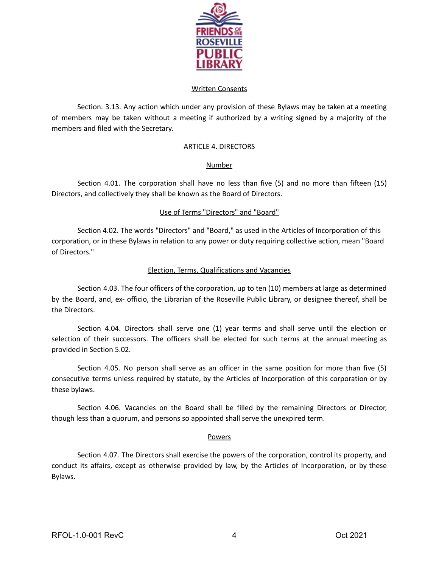

#### Written Consents

Section. 3.13. Any action which under any provision of these Bylaws may be taken at a meeting of members may be taken without a meeting if authorized by a writing signed by a majority of the members and filed with the Secretary.

### ARTICLE 4. DIRECTORS

## **Number**

Section 4.01. The corporation shall have no less than five (5) and no more than fifteen (15) Directors, and collectively they shall be known as the Board of Directors.

## Use of Terms "Directors" and "Board"

Section 4.02. The words "Directors" and "Board," as used in the Articles of Incorporation of this corporation, or in these Bylaws in relation to any power or duty requiring collective action, mean "Board of Directors."

### Election, Terms, Qualifications and Vacancies

Section 4.03. The four officers of the corporation, up to ten (10) members at large as determined by the Board, and, ex- officio, the Librarian of the Roseville Public Library, or designee thereof, shall be the Directors.

Section 4.04. Directors shall serve one (1) year terms and shall serve until the election or selection of their successors. The officers shall be elected for such terms at the annual meeting as provided in Section 5.02.

Section 4.05. No person shall serve as an officer in the same position for more than five (5) consecutive terms unless required by statute, by the Articles of Incorporation of this corporation or by these bylaws.

Section 4.06. Vacancies on the Board shall be filled by the remaining Directors or Director, though less than a quorum, and persons so appointed shall serve the unexpired term.

#### **Powers**

Section 4.07. The Directors shall exercise the powers of the corporation, control its property, and conduct its affairs, except as otherwise provided by law, by the Articles of Incorporation, or by these Bylaws.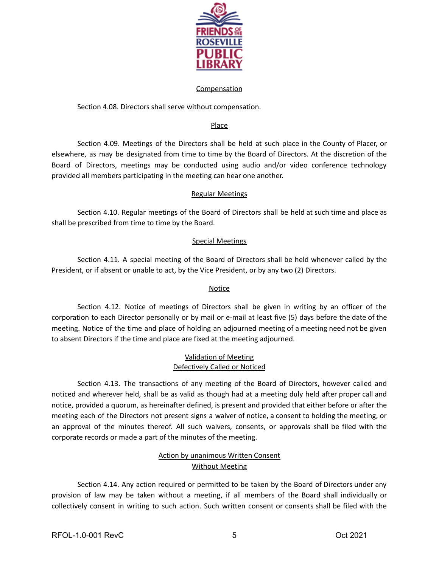

#### **Compensation**

Section 4.08. Directors shall serve without compensation.

### **Place**

Section 4.09. Meetings of the Directors shall be held at such place in the County of Placer, or elsewhere, as may be designated from time to time by the Board of Directors. At the discretion of the Board of Directors, meetings may be conducted using audio and/or video conference technology provided all members participating in the meeting can hear one another.

### Regular Meetings

Section 4.10. Regular meetings of the Board of Directors shall be held at such time and place as shall be prescribed from time to time by the Board.

### Special Meetings

Section 4.11. A special meeting of the Board of Directors shall be held whenever called by the President, or if absent or unable to act, by the Vice President, or by any two (2) Directors.

## **Notice**

Section 4.12. Notice of meetings of Directors shall be given in writing by an officer of the corporation to each Director personally or by mail or e-mail at least five (5) days before the date of the meeting. Notice of the time and place of holding an adjourned meeting of a meeting need not be given to absent Directors if the time and place are fixed at the meeting adjourned.

#### Validation of Meeting Defectively Called or Noticed

Section 4.13. The transactions of any meeting of the Board of Directors, however called and noticed and wherever held, shall be as valid as though had at a meeting duly held after proper call and notice, provided a quorum, as hereinafter defined, is present and provided that either before or after the meeting each of the Directors not present signs a waiver of notice, a consent to holding the meeting, or an approval of the minutes thereof. All such waivers, consents, or approvals shall be filed with the corporate records or made a part of the minutes of the meeting.

# Action by unanimous Written Consent Without Meeting

Section 4.14. Any action required or permitted to be taken by the Board of Directors under any provision of law may be taken without a meeting, if all members of the Board shall individually or collectively consent in writing to such action. Such written consent or consents shall be filed with the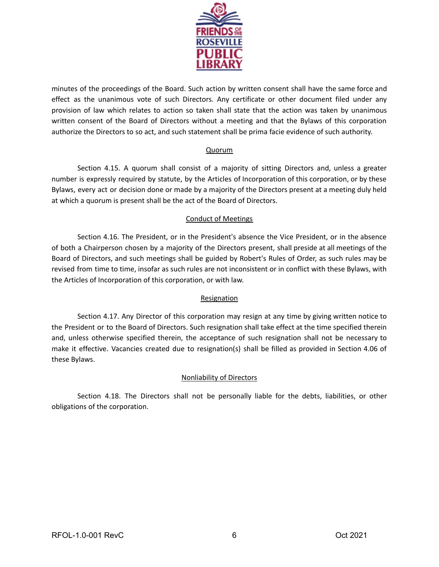

minutes of the proceedings of the Board. Such action by written consent shall have the same force and effect as the unanimous vote of such Directors. Any certificate or other document filed under any provision of law which relates to action so taken shall state that the action was taken by unanimous written consent of the Board of Directors without a meeting and that the Bylaws of this corporation authorize the Directors to so act, and such statement shall be prima facie evidence of such authority.

## Quorum

Section 4.15. A quorum shall consist of a majority of sitting Directors and, unless a greater number is expressly required by statute, by the Articles of Incorporation of this corporation, or by these Bylaws, every act or decision done or made by a majority of the Directors present at a meeting duly held at which a quorum is present shall be the act of the Board of Directors.

## Conduct of Meetings

Section 4.16. The President, or in the President's absence the Vice President, or in the absence of both a Chairperson chosen by a majority of the Directors present, shall preside at all meetings of the Board of Directors, and such meetings shall be guided by Robert's Rules of Order, as such rules may be revised from time to time, insofar as such rules are not inconsistent or in conflict with these Bylaws, with the Articles of Incorporation of this corporation, or with law.

## **Resignation**

Section 4.17. Any Director of this corporation may resign at any time by giving written notice to the President or to the Board of Directors. Such resignation shall take effect at the time specified therein and, unless otherwise specified therein, the acceptance of such resignation shall not be necessary to make it effective. Vacancies created due to resignation(s) shall be filled as provided in Section 4.06 of these Bylaws.

## Nonliability of Directors

Section 4.18. The Directors shall not be personally liable for the debts, liabilities, or other obligations of the corporation.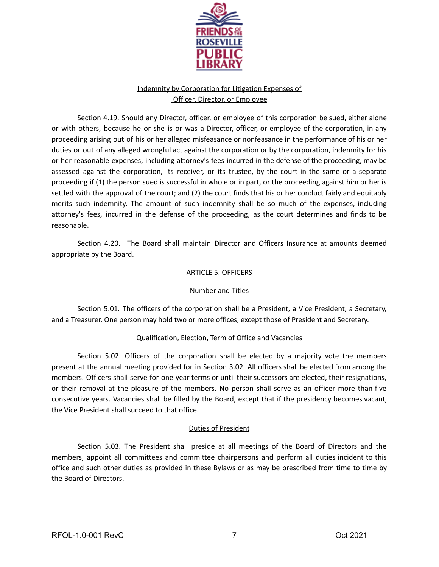

## Indemnity by Corporation for Litigation Expenses of Officer, Director, or Employee

Section 4.19. Should any Director, officer, or employee of this corporation be sued, either alone or with others, because he or she is or was a Director, officer, or employee of the corporation, in any proceeding arising out of his or her alleged misfeasance or nonfeasance in the performance of his or her duties or out of any alleged wrongful act against the corporation or by the corporation, indemnity for his or her reasonable expenses, including attorney's fees incurred in the defense of the proceeding, may be assessed against the corporation, its receiver, or its trustee, by the court in the same or a separate proceeding if (1) the person sued is successful in whole or in part, or the proceeding against him or her is settled with the approval of the court; and (2) the court finds that his or her conduct fairly and equitably merits such indemnity. The amount of such indemnity shall be so much of the expenses, including attorney's fees, incurred in the defense of the proceeding, as the court determines and finds to be reasonable.

Section 4.20. The Board shall maintain Director and Officers Insurance at amounts deemed appropriate by the Board.

### ARTICLE 5. OFFICERS

#### Number and Titles

Section 5.01. The officers of the corporation shall be a President, a Vice President, a Secretary, and a Treasurer. One person may hold two or more offices, except those of President and Secretary.

## Qualification, Election, Term of Office and Vacancies

Section 5.02. Officers of the corporation shall be elected by a majority vote the members present at the annual meeting provided for in Section 3.02. All officers shall be elected from among the members. Officers shall serve for one-year terms or until their successors are elected, their resignations, or their removal at the pleasure of the members. No person shall serve as an officer more than five consecutive years. Vacancies shall be filled by the Board, except that if the presidency becomes vacant, the Vice President shall succeed to that office.

## Duties of President

Section 5.03. The President shall preside at all meetings of the Board of Directors and the members, appoint all committees and committee chairpersons and perform all duties incident to this office and such other duties as provided in these Bylaws or as may be prescribed from time to time by the Board of Directors.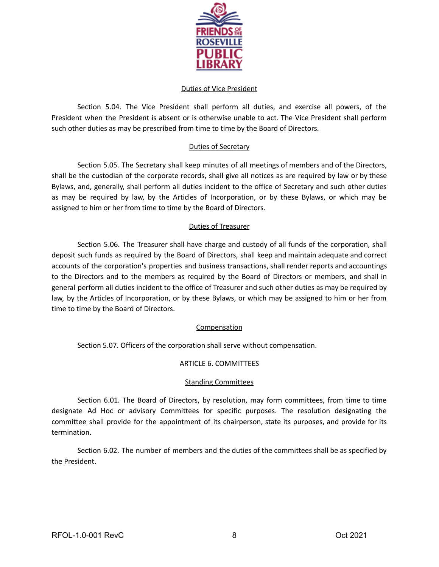

#### Duties of Vice President

Section 5.04. The Vice President shall perform all duties, and exercise all powers, of the President when the President is absent or is otherwise unable to act. The Vice President shall perform such other duties as may be prescribed from time to time by the Board of Directors.

## Duties of Secretary

Section 5.05. The Secretary shall keep minutes of all meetings of members and of the Directors, shall be the custodian of the corporate records, shall give all notices as are required by law or by these Bylaws, and, generally, shall perform all duties incident to the office of Secretary and such other duties as may be required by law, by the Articles of Incorporation, or by these Bylaws, or which may be assigned to him or her from time to time by the Board of Directors.

## Duties of Treasurer

Section 5.06. The Treasurer shall have charge and custody of all funds of the corporation, shall deposit such funds as required by the Board of Directors, shall keep and maintain adequate and correct accounts of the corporation's properties and business transactions, shall render reports and accountings to the Directors and to the members as required by the Board of Directors or members, and shall in general perform all duties incident to the office of Treasurer and such other duties as may be required by law, by the Articles of Incorporation, or by these Bylaws, or which may be assigned to him or her from time to time by the Board of Directors.

## **Compensation**

Section 5.07. Officers of the corporation shall serve without compensation.

## ARTICLE 6. COMMITTEES

## Standing Committees

Section 6.01. The Board of Directors, by resolution, may form committees, from time to time designate Ad Hoc or advisory Committees for specific purposes. The resolution designating the committee shall provide for the appointment of its chairperson, state its purposes, and provide for its termination.

Section 6.02. The number of members and the duties of the committees shall be as specified by the President.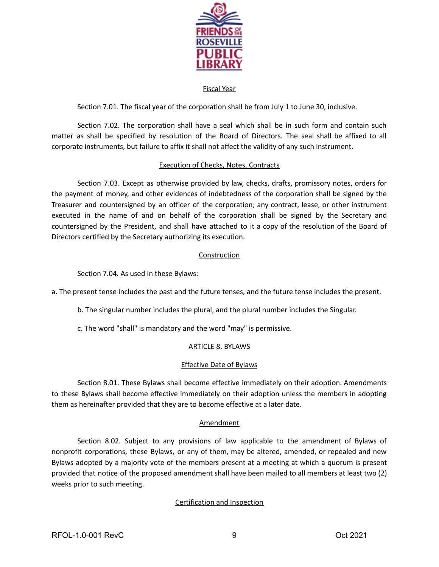

### Fiscal Year

Section 7.01. The fiscal year of the corporation shall be from July 1 to June 30, inclusive.

Section 7.02. The corporation shall have a seal which shall be in such form and contain such matter as shall be specified by resolution of the Board of Directors. The seal shall be affixed to all corporate instruments, but failure to affix it shall not affect the validity of any such instrument.

### Execution of Checks, Notes, Contracts

Section 7.03. Except as otherwise provided by law, checks, drafts, promissory notes, orders for the payment of money, and other evidences of indebtedness of the corporation shall be signed by the Treasurer and countersigned by an officer of the corporation; any contract, lease, or other instrument executed in the name of and on behalf of the corporation shall be signed by the Secretary and countersigned by the President, and shall have attached to it a copy of the resolution of the Board of Directors certified by the Secretary authorizing its execution.

## **Construction**

Section 7.04. As used in these Bylaws:

a. The present tense includes the past and the future tenses, and the future tense includes the present.

- b. The singular number includes the plural, and the plural number includes the Singular.
- c. The word "shall" is mandatory and the word "may" is permissive.

## ARTICLE 8. BYLAWS

## Effective Date of Bylaws

Section 8.01. These Bylaws shall become effective immediately on their adoption. Amendments to these Bylaws shall become effective immediately on their adoption unless the members in adopting them as hereinafter provided that they are to become effective at a later date.

## Amendment

Section 8.02. Subject to any provisions of law applicable to the amendment of Bylaws of nonprofit corporations, these Bylaws, or any of them, may be altered, amended, or repealed and new Bylaws adopted by a majority vote of the members present at a meeting at which a quorum is present provided that notice of the proposed amendment shall have been mailed to all members at least two (2) weeks prior to such meeting.

## Certification and Inspection